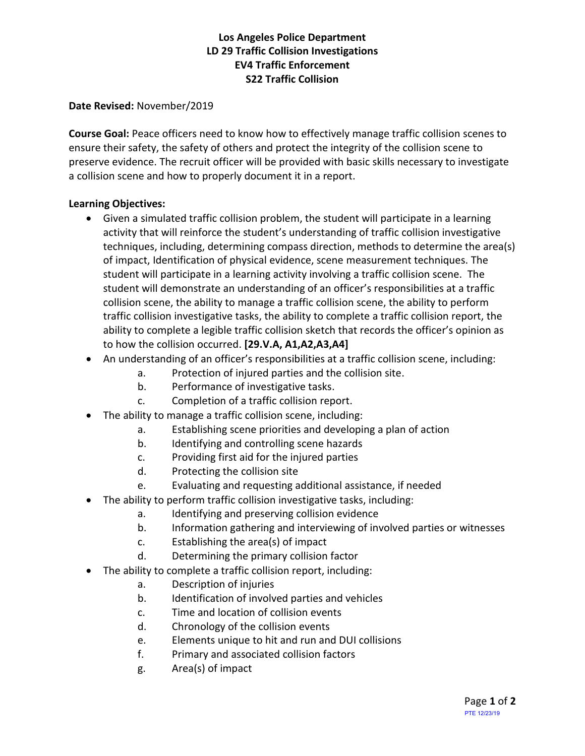# **Los Angeles Police Department LD 29 Traffic Collision Investigations EV4 Traffic Enforcement S22 Traffic Collision**

#### **Date Revised:** November/2019

**Course Goal:** Peace officers need to know how to effectively manage traffic collision scenes to ensure their safety, the safety of others and protect the integrity of the collision scene to preserve evidence. The recruit officer will be provided with basic skills necessary to investigate a collision scene and how to properly document it in a report.

## **Learning Objectives:**

- Given a simulated traffic collision problem, the student will participate in a learning activity that will reinforce the student's understanding of traffic collision investigative techniques, including, determining compass direction, methods to determine the area(s) of impact, Identification of physical evidence, scene measurement techniques. The student will participate in a learning activity involving a traffic collision scene. The student will demonstrate an understanding of an officer's responsibilities at a traffic collision scene, the ability to manage a traffic collision scene, the ability to perform traffic collision investigative tasks, the ability to complete a traffic collision report, the ability to complete a legible traffic collision sketch that records the officer's opinion as to how the collision occurred. **[29.V.A, A1,A2,A3,A4]**
- An understanding of an officer's responsibilities at a traffic collision scene, including:
	- a. Protection of injured parties and the collision site.
		- b. Performance of investigative tasks.
		- c. Completion of a traffic collision report.
- The ability to manage a traffic collision scene, including:
	- a. Establishing scene priorities and developing a plan of action
	- b. Identifying and controlling scene hazards
	- c. Providing first aid for the injured parties
	- d. Protecting the collision site
	- e. Evaluating and requesting additional assistance, if needed
- The ability to perform traffic collision investigative tasks, including:
	- a. Identifying and preserving collision evidence
	- b. Information gathering and interviewing of involved parties or witnesses
	- c. Establishing the area(s) of impact
	- d. Determining the primary collision factor
- The ability to complete a traffic collision report, including:
	- a. Description of injuries
	- b. Identification of involved parties and vehicles
	- c. Time and location of collision events
	- d. Chronology of the collision events
	- e. Elements unique to hit and run and DUI collisions
	- f. Primary and associated collision factors
	- g. Area(s) of impact